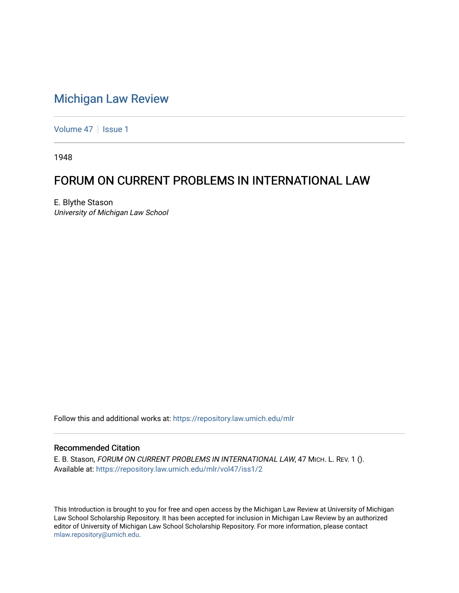## [Michigan Law Review](https://repository.law.umich.edu/mlr)

[Volume 47](https://repository.law.umich.edu/mlr/vol47) | [Issue 1](https://repository.law.umich.edu/mlr/vol47/iss1)

1948

## FORUM ON CURRENT PROBLEMS IN INTERNATIONAL LAW

E. Blythe Stason University of Michigan Law School

Follow this and additional works at: [https://repository.law.umich.edu/mlr](https://repository.law.umich.edu/mlr?utm_source=repository.law.umich.edu%2Fmlr%2Fvol47%2Fiss1%2F2&utm_medium=PDF&utm_campaign=PDFCoverPages) 

#### Recommended Citation

E. B. Stason, FORUM ON CURRENT PROBLEMS IN INTERNATIONAL LAW, 47 MICH. L. REV. 1 (). Available at: [https://repository.law.umich.edu/mlr/vol47/iss1/2](https://repository.law.umich.edu/mlr/vol47/iss1/2?utm_source=repository.law.umich.edu%2Fmlr%2Fvol47%2Fiss1%2F2&utm_medium=PDF&utm_campaign=PDFCoverPages)

This Introduction is brought to you for free and open access by the Michigan Law Review at University of Michigan Law School Scholarship Repository. It has been accepted for inclusion in Michigan Law Review by an authorized editor of University of Michigan Law School Scholarship Repository. For more information, please contact [mlaw.repository@umich.edu.](mailto:mlaw.repository@umich.edu)